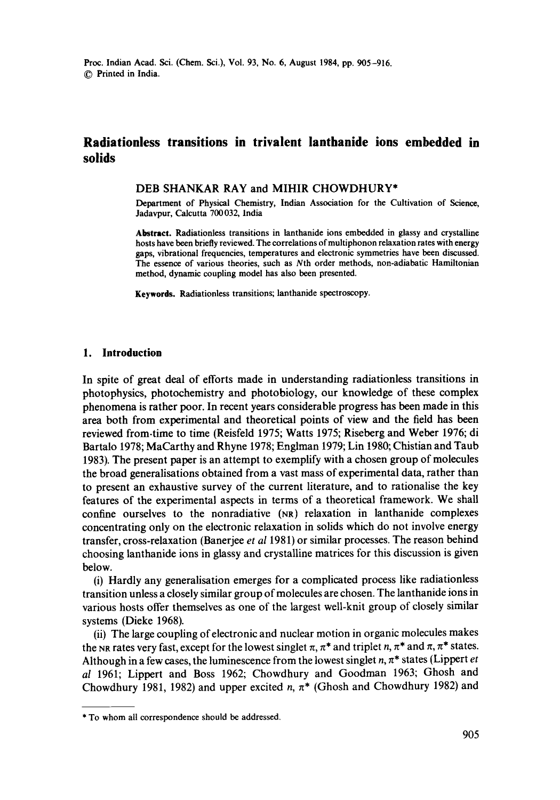# **Radiationless transitions in trivalent lanthanide ions embedded in solids**

### **DEB** SHANKAR RAY and MIHIR **CHOWDHURY\***

Department of Physical Chemistry, Indian Association for the Cultivation of Science, Jadavpur, Calcutta 700032, India

**Abstract.** Radiationless transitions in lanthanide ions embedded in glassy and crystalline **hosts** have been briefly reviewed. The correlations of multiphonon relaxation rates with **energy**  gaps, vibrational frequencies, temperatures and electronic symmetries have been discussed. The essence of various theories, such as Ntb order methods, non-adiabatic Hamiltonian method, dynamic coupling model has also been presented.

**Keywords.** Radiationless transitions; lanthanide spectroscopy.

# **1. Introduction**

In spite of great deal of efforts made in understanding radiationless transitions in photophysics, photochemistry and photobiology, our knowledge of these complex phenomena is rather poor. In recent years considerable progress has been made in this area both from experimental and theoretical points of view and the field has been reviewed from-time to time (Reisfeld 1975; Watts 1975; Riseberg and Weber 1976; di Bartalo 1978; MaCarthy and Rhyne 1978; Englman 1979; Lin 1980; Chistian and Taub 1983). The present paper is an attempt to exemplify with a chosen group of molecules the broad generalisations obtained from a vast mass of experimental data, rather than to present an exhaustive survey of the current literature, and to rationalise the key features of the experimental aspects in terms of a theoretical framework. We shall confine ourselves to the nonradiative (NR) relaxation in lanthanide complexes concentrating only on the electronic relaxation in solids which do not involve energy transfer, cross-relaxation (Banerjee *et al* 1981) or similar processes. The reason behind choosing lanthanide ions in glassy and crystalline matrices for this discussion is given below.

(i) Hardly any generalisation emerges for a complicated process like radiationless transition unless a closely similar group of molecules are chosen. The lanthanide ions in various hosts offer themselves as one of the largest well-knit group of closely similar systems (Dieke 1968).

(ii) The large coupling of electronic and nuclear motion in organic molecules makes the NR rates very fast, except for the lowest singlet  $\pi$ ,  $\pi^*$  and triplet n,  $\pi^*$  and  $\pi$ ,  $\pi^*$  states. Although in a few cases, the luminescence from the lowest singlet  $n, \pi^*$  states (Lippert *et al* 1961; Lippert and Boss 1962; Chowdhury and Goodman 1963; Ghosh and Chowdhury 1981, 1982) and upper excited n,  $\pi^*$  (Ghosh and Chowdhury 1982) and

<sup>\*</sup> To whom all correspondence should be addressed.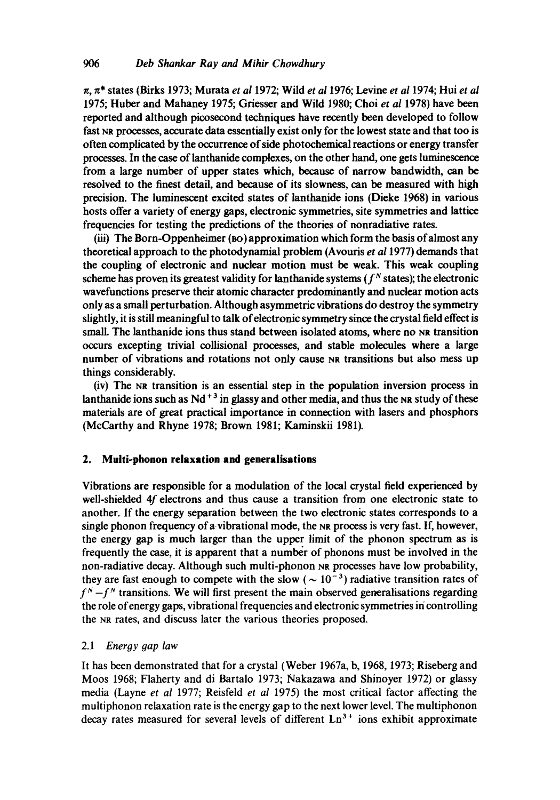~, 7~\* states (Birks 1973; Murata *et a11972;* Wild *et a11976;* Levine *et al* 1974; Hui *et al*  1975; Huber and Mahaney 1975; Griesser and Wild 1980; Choi *et al* 1978) have been reported and although picosecond techniques have recently been developed to follow fast NR processes, accurate data essentially exist only for the lowest state and that too is often complicated by the occurrence of side photochemical reactions or energy transfer processes. In the case of lanthanide complexes, on the other hand, one gets luminescence from a large number of upper states which, because of narrow bandwidth, can be resolved to the finest detail, and because of its slowness, can be measured with high precision. The luminescent excited states of lanthanide ions (Dieke 1968) in various hosts offer a variety of energy gaps, electronic symmetries, site symmetries and lattice frequencies for testing the predictions of the theories of nonradiative rates.

(iii) The Born-Oppenheimer (ao) approximation which form the basis of almost any theoretical approach to the photodynamial problem (Avouris *et a11977)* demands that the coupling of electronic and nuclear motion must be weak. This weak coupling scheme has proven its greatest validity for lanthanide systems ( $f<sup>N</sup>$  states); the electronic wavefunctions preserve their atomic character predominantly and nuclear motion acts only as a small perturbation. Although asymmetric vibrations do destroy the symmetry slightly, it is still meaningful to talk of electronic symmetry since the crystal field effect is small. The lanthanide ions thus stand between isolated atoms, where no NR transition occurs excepting trivial collisional processes, and stable molecules where a large number of vibrations and rotations not only cause NR transitions but also mess up things considerably.

(iv) The Na transition is an essential step in the population inversion process in lanthanide ions such as  $Nd + 3$  in glassy and other media, and thus the NR study of these materials are of great practical importance in connection with lasers and phosphors (McCarthy and Rhyne 1978; Brown 1981; Kaminskii 1981).

# **2. Muiti-phonon relaxation and generalisations**

Vibrations are responsible for a modulation of the local crystal field experienced by well-shielded 4f electrons and thus cause a transition from one electronic state to another. If the energy separation between the two electronic states corresponds to a single phonon frequency of avibrational mode, the NR process is very fast. If, however, the energy gap is much larger than the upper limit of the phonon spectrum as is frequently the ease, it is apparent that a number of phonons must be involved in the non-radiative decay. Although such multi-phonon Na processes have low probability, they are fast enough to compete with the slow ( $\sim 10^{-3}$ ) radiative transition rates of  $f^N - f^N$  transitions. We will first present the main observed generalisations regarding the role of energy gaps, vibrational frequencies and electronic symmetries in controlling the NR rates, and discuss later the various theories proposed.

# *2.1 Energy 9ap law*

It has been demonstrated that for a crystal (Weber 1967a, b, 1968, 1973; Riseberg and Moos 1968; Flaherty and di Bartalo 1973; Nakazawa and Shinoyer 1972) or glassy media (Layne *et al* 1977; Reisfeld *et al* 1975) the most critical factor affecting the multiphonon relaxation rate is the energy gap to the next lower level. The multiphonon decay rates measured for several levels of different  $Ln<sup>3+</sup>$  ions exhibit approximate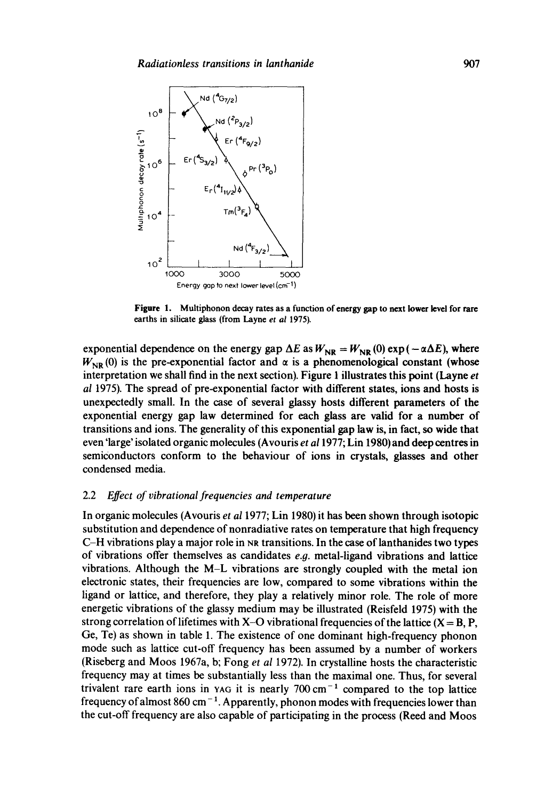

**Figure 1. Multiphonon decay rates as a function of energy gap to next lower level for rare**  earths in silicate glass (from Layne *et al* 1975).

exponential dependence on the energy gap  $\Delta E$  as  $W_{\text{NR}} = W_{\text{NR}}(0) \exp(-\alpha \Delta E)$ , where  $W_{\text{NR}}$  (0) is the pre-exponential factor and  $\alpha$  is a phenomenological constant (whose interpretation we shall find in the next section). Figure I illustrates this point (Layne *et al* 1975). The spread of pre-exponential factor with **different states,** ions and hosts is unexpectedly small. In the case of several glassy hosts different parameters of **the**  exponential energy gap law determined for each glass are valid for a number of transitions and ions. The generality of this exponential gap law is, in fact, so wide that even 'large' isolated organic molecules (Avouris *et a11977;* Lin 1980)and deep centres in semiconductors conform to the behaviour of ions in **crystals, glasses and other**  condensed media.

# 2.2 *Effect of vibrational frequencies and temperature*

In organic molecules (Avouris *et al* 1977; Lin 1980) it has been shown through isotopic substitution and dependence of nonradiative rates on temperature that high frequency  $C-H$  vibrations play a major role in NR transitions. In the case of lanthanides two types of vibrations offer themselves as candidates *e.g.* metal-ligand vibrations and lattice vibrations. Although the M-L vibrations are strongly coupled with the metal ion electronic states, their frequencies are low, compared to some vibrations within the ligand or lattice, and therefore, they play a relatively minor role. The role of more energetic vibrations of the glassy medium may be illustrated (Reisfeld 1975) with **the**  strong correlation of lifetimes with X-O vibrational frequencies of the lattice  $(X = B, P, P)$ Ge, Te) as shown in table 1. The existence of one dominant high-frequency phonon mode such as lattice cut-off frequency has been assumed by a number of workers (Riseberg and Moos 1967a, b; Fong *et al* 1972). In crystalline hosts the characteristic frequency may at times be substantially less than the maximal one. Thus, for several trivalent rare earth ions in YAG it is nearly  $700 \text{ cm}^{-1}$  compared to the top lattice frequency of almost 860 cm<sup> $-1$ </sup>. Apparently, phonon modes with frequencies lower than the cut-off frequency are also capable of participating in the process (Reed and Moos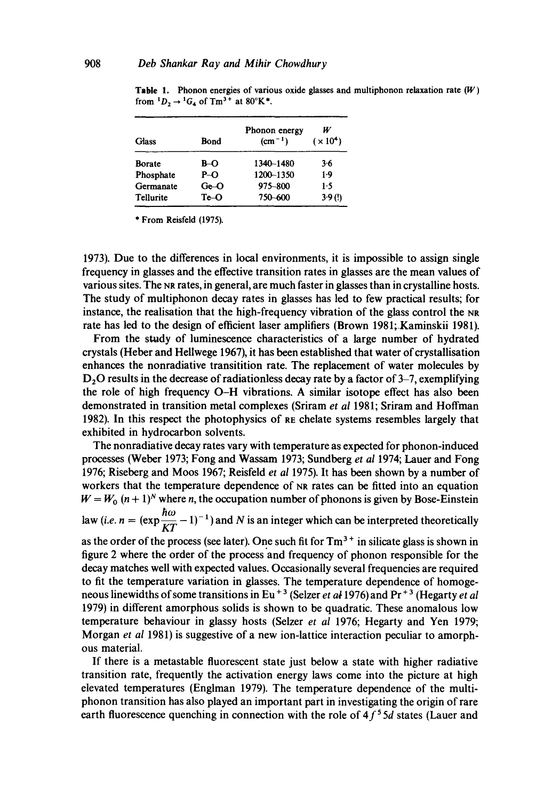| <b>Glass</b>           | Bond           | Phonon energy<br>$(cm-1)$ | W<br>$(\times 10^4)$ |
|------------------------|----------------|---------------------------|----------------------|
| <b>Borate</b>          | B-O            | 1340-1480                 | $3 - 6$              |
| Phosphate              | $P-O$          | 1200-1350                 | $1-9$                |
| Germanate<br>Tellurite | $Ge-O$<br>Te⊣O | 975-800<br>750-600        | 1.5<br>3.9(!)        |

**Table** 1. Phonon energies of various oxide glasses and multiphonon relaxation rate (W) from  ${}^{1}D_{2} \rightarrow {}^{1}G_{4}$  of Tm<sup>3+</sup> at 80°K<sup>\*</sup>.

\* From Reisfeld (1975).

1973). Due to the differences in local environments, it is impossible to assign single frequency in glasses and the effective transition rates in glasses are the mean values of various sites. The NR rates, in general, are much faster in glasses than in crystalline hosts. The study of multiphonon decay rates in glasses has led to few practical results; for instance, the realisation that the high-frequency vibration of the glass control the NR rate has led to the design of efficient laser amplifiers (Brown 1981; Kaminskii 1981).

From the study of luminescence characteristics of a large number of hydrated crystals (Heber and Hellwege 1967), it has been established that water of crystallisation enhances the nonradiative transitition rate. The replacement of water molecules by D<sub>2</sub>O results in the decrease of radiationless decay rate by a factor of 3-7, exemplifying the role of high frequency O-H vibrations. A similar isotope effect has also been demonstrated in transition metal complexes (Sriram *et al* 1981; Sriram and Hoffman 1982). In this respect the photophysics of RE chelate systems resembles largely that exhibited in hydrocarbon solvents.

The nonradiative decay rates vary with temperature as expected for phonon-induced processes (Weber 1973; Fong and Wassam 1973; Sundberg *et al* 1974; Lauer and Fong 1976; Riseberg and Moos 1967; Reisfeld *et al* 1975). It has been shown by a number of workers that the temperature dependence of NR rates can be fitted into an equation  $W = W_0$   $(n + 1)^N$  where *n*, the occupation number of phonons is given by Bose-Einstein law (*i.e.*  $n = (\exp{\frac{\hbar \omega}{\hbar \omega}} - 1)^{-1}$ ) and N is an integer which can be interpreted theoretically as the order of the process (see later). One such fit for  $Tm<sup>3+</sup>$  in silicate glass is shown in figure 2 where the order of the process'and frequency of phonon responsible for the decay matches well with expected values. Occasionally several frequencies are required to fit the temperature variation in glasses. The temperature dependence of homogeneous linewidths of some transitions in Eu<sup>+3</sup> (Selzer *et al* 1976) and Pr<sup>+3</sup> (Hegarty *et al* 1979) in different amorphous solids is shown to be quadratic. These anomalous low temperature behaviour in glassy hosts (Seizer *et al* 1976; Hegarty and Yen 1979; Morgan *et al* 1981) is suggestive of a new ion-lattice interaction peculiar to amorphous material.

If there is a metastable fluorescent state just below a state with higher radiative transition rate, frequently the activation energy laws come into the picture at high elevated temperatures (Englman 1979). The temperature dependence of the multiphonon transition has also played an important part in investigating the origin of rare earth fluorescence quenching in connection with the role of  $4f<sup>5</sup>5d$  states (Lauer and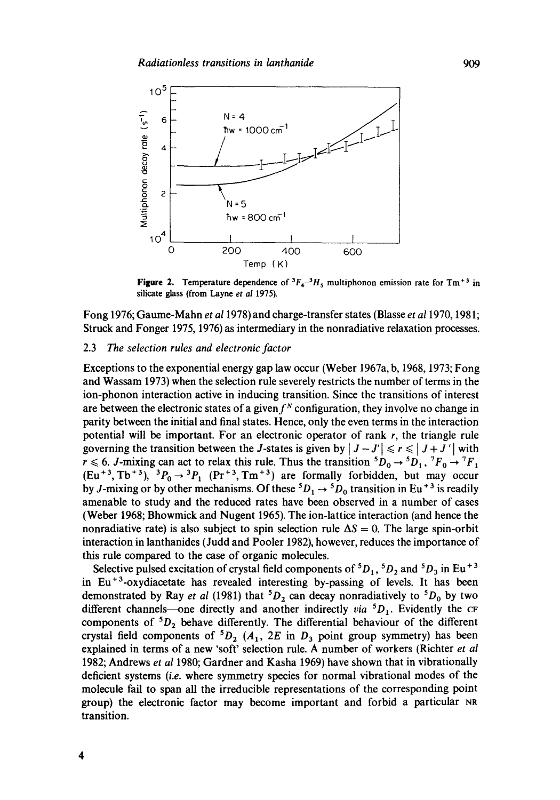

**Figure 2.** Temperature dependence of  ${}^3F_4-{}^3H_5$  multiphonon emission rate for Tm<sup>+3</sup> in silicate glass (from Layne *et al* 1975).

Fong 1976; Gaume-Mahn *et a11978)and* charge-transfer states (Blasse *et a11970,* 1981; Struck and Fonger 1975, 1976) as intermediary in the nonradiative relaxation processes.

# 2.3 *The selection rules and electronic factor*

Exceptions to the exponential energy gap law occur (Weber 1967a, b, 1968, 1973; Fong and Wassam 1973) when the selection rule severely restricts the number of terms in the ion-phonon interaction active in inducing transition. Since the transitions of interest are between the electronic states of a given  $f<sup>N</sup>$  configuration, they involve no change in parity between the initial and final states. Hence, only the even terms in the interaction potential will be important. For an electronic operator of rank  $r$ , the triangle rule governing the transition between the J-states is given by  $|J-J'| \le r \le |J+J'|$  with  $r \le 6$ . J-mixing can act to relax this rule. Thus the transition  ${}^5D_0 \rightarrow {}^5D_1$ ,  ${}^7F_0 \rightarrow {}^7F_1$  $(Eu^{+3}, Tb^{+3})$ ,  ${}^{3}P_0 \rightarrow {}^{3}P_1$  (Pr<sup>+3</sup>, Tm<sup>+3</sup>) are formally forbidden, but may occur by J-mixing or by other mechanisms. Of these  ${}^5D_1 \rightarrow {}^5D_0$  transition in Eu<sup>+3</sup> is readily amenable to study and the reduced rates have been observed in a number of cases (Weber 1968; Bhowmick and Nugent 1965). The ion-lattice interaction (and hence the nonradiative rate) is also subject to spin selection rule  $\Delta S = 0$ . The large spin-orbit interaction in lanthanides (Judd and Pooler 1982), however, reduces the importance of this rule compared to the case of organic molecules.

Selective pulsed excitation of crystal field components of  ${}^5D_1$ ,  ${}^5D_2$  and  ${}^5D_3$  in Eu<sup>+3</sup> in  $Eu<sup>+3</sup>$ -oxydiacetate has revealed interesting by-passing of levels. It has been demonstrated by Ray *et al* (1981) that  ${}^5D_2$  can decay nonradiatively to  ${}^5D_0$  by two different channels--one directly and another indirectly *via*  ${}^5D_1$ . Evidently the CF components of  ${}^5D_2$  behave differently. The differential behaviour of the different crystal field components of  ${}^5D_2$  ( $A_1$ , 2E in  $D_3$  point group symmetry) has been explained in terms of a new 'soft' selection rule. A number of workers (Richter *et al*  1982; Andrews *et al* 1980; Gardner and Kasha 1969) have shown that in vibrationally deficient systems *(i.e.* where symmetry species for normal vibrational modes of the molecule fail to span all the irreducible representations of the corresponding point group) the electronic factor may become important and forbid a particular NR transition.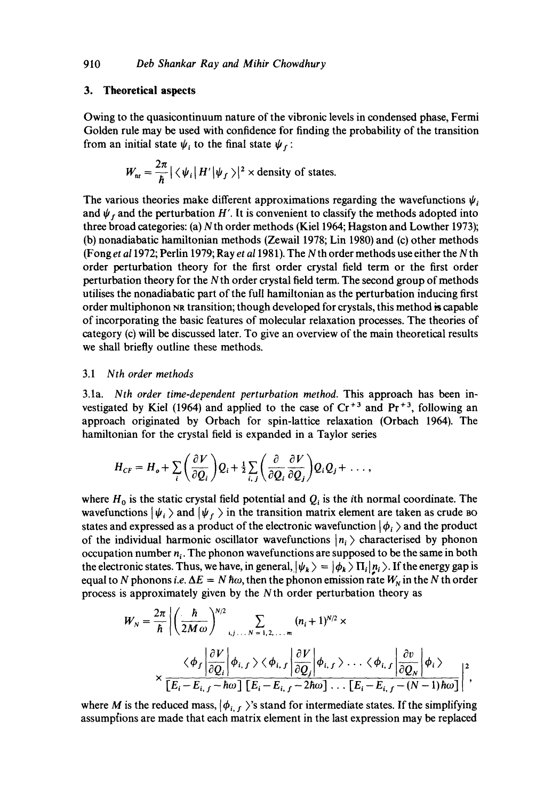#### **3. Theoretical aspects**

Owing to the quasicontinuum nature of the vibronic levels in condensed phase, Fermi Golden rule may be used with confidence for finding the probability of the transition from an initial state  $\psi_i$  to the final state  $\psi_i$ :

$$
W_{\rm nr}=\frac{2\pi}{\hbar}|\langle \psi_i | H' | \psi_f \rangle|^2 \times \text{density of states.}
$$

The various theories make different approximations regarding the wavefunctions  $\psi$ , and  $\psi_f$  and the perturbation H'. It is convenient to classify the methods adopted into three broad categories: (a) Nth order methods (Kie11964; Hagston and Lowther 1973); (b) nonadiabatic hamiltonian methods (Zewail 1978; Lin 1980) and (c) other methods (Fong *et a11972;* Perlin 1979; Ray *et a11981).* The Nth order methods use either the Nth order perturbation theory for the first order crystal field term or the first order perturbation theory for the N th order crystal field term. The second group of methods utilises the nonadiabatic part of the full hamiltonian as the perturbation inducing first order multiphonon NR transition; though developed for crystals, this method is capable of incorporating the basic features of molecular relaxation processes. The theories of category (c) will be discussed later. To give an overview of the main theoretical results we shall briefly outline these methods.

# *3.1 Nth order methods*

3.1a. *Nth order time-dependent perturbation method.* This approach has been investigated by Kiel (1964) and applied to the case of  $Cr^{+3}$  and  $Pr^{+3}$ , following an approach originated by Orbach for spin-lattice relaxation (Orbach 1964). The hamiltonian for the crystal field is expanded in a Taylor series

$$
H_{CF} = H_o + \sum_i \left(\frac{\partial V}{\partial Q_i}\right) Q_i + \frac{1}{2} \sum_{i,j} \left(\frac{\partial}{\partial Q_i} \frac{\partial V}{\partial Q_j}\right) Q_i Q_j + \ldots,
$$

where  $H_0$  is the static crystal field potential and  $Q_i$  is the *i*th normal coordinate. The wavefunctions  $|\psi_i \rangle$  and  $|\psi_f \rangle$  in the transition matrix element are taken as crude BO states and expressed as a product of the electronic wavefunction  $|\phi_i \rangle$  and the product of the individual harmonic oscillator wavefunctions  $|n_i\rangle$  characterised by phonon occupation number  $n_i$ . The phonon wavefunctions are supposed to be the same in both the electronic states. Thus, we have, in general,  $|\psi_k\rangle = |\phi_k\rangle \Pi_i |n_i\rangle$ . If the energy gap is equal to N phonons *i.e.*  $\Delta E = N \hbar \omega$ , then the phonon emission rate  $W_N$  in the N th order process is approximately given by the Nth order perturbation theory as

$$
W_N = \frac{2\pi}{\hbar} \left| \left( \frac{\hbar}{2M\omega} \right)^{N/2} \sum_{i,j...N=1,2,...,m} (n_i + 1)^{N/2} \times \left( \phi_f \left| \frac{\partial V}{\partial Q_i} \right| \phi_{i,f} \right) \left\langle \phi_{i,f} \right| \frac{\partial V}{\partial Q_j} \middle| \phi_{i,f} \right\rangle \dots \left\langle \phi_{i,f} \left| \frac{\partial v}{\partial Q_N} \right| \phi_i \right\rangle
$$
  
 
$$
\times \frac{\left[ E_i - E_{i,f} - \hbar \omega \right] \left[ E_i - E_{i,f} - 2\hbar \omega \right] \dots \left[ E_i - E_{i,f} - (N-1)\hbar \omega \right]}{\left[ E_i - E_{i,f} - \hbar \omega \right] \left[ E_i - E_{i,f} - 2\hbar \omega \right] \dots \left[ E_i - E_{i,f} - (N-1)\hbar \omega \right]} \right|^2,
$$

where M is the reduced mass,  $|\phi_{i,f}\rangle$ 's stand for intermediate states. If the simplifying assumptions are made that each matrix element in the last expression may be replaced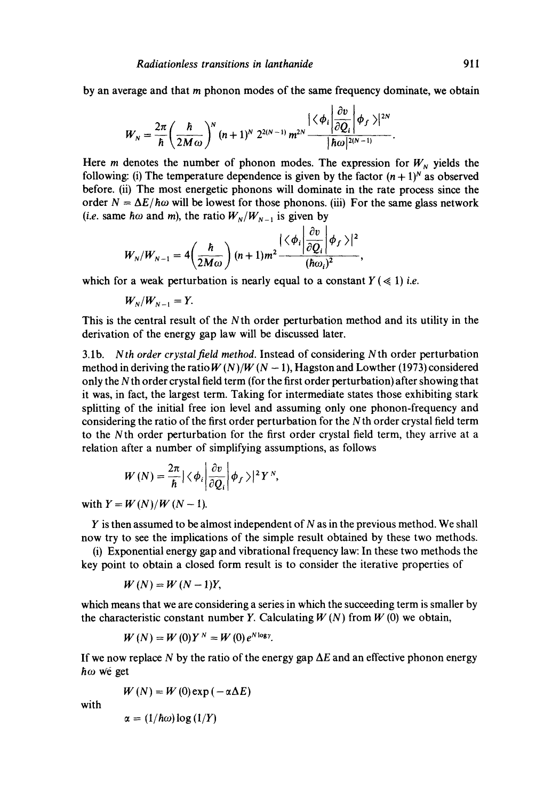by an average and that m phonon modes of the same frequency dominate, we obtain

$$
W_N=\frac{2\pi}{\hbar}\bigg(\frac{\hbar}{2M\omega}\bigg)^N(n+1)^N 2^{2(N-1)} m^{2N}\frac{|\langle\phi_i|\frac{\partial v}{\partial Q_i}|\phi_f\rangle|^{2N}}{|\hbar\omega|^{2(N-1)}}.
$$

Here *m* denotes the number of phonon modes. The expression for  $W_N$  yields the following: (i) The temperature dependence is given by the factor  $(n + 1)^N$  as observed before. (ii) The most energetic phonons will dominate in the rate process since the order  $N = \Delta E / \hbar \omega$  will be lowest for those phonons. (iii) For the same glass network *(i.e.* same h $\omega$  and m), the ratio  $W_N/W_{N-1}$  is given by

$$
W_N/W_{N-1}=4\left(\frac{\hbar}{2M\omega}\right)(n+1)m^2\frac{|\langle\phi_i|\frac{\partial v}{\partial Q_i}|\phi_f\rangle|^2}{(\hbar\omega_i)^2},
$$

which for a weak perturbation is nearly equal to a constant  $Y \leq 1$ ) *i.e.* 

 $W_{N}/W_{N-1} = Y$ .

This is the central result of the Nth order perturbation method and its utility in the derivation of the energy gap law will be discussed later.

3.lb. *Nth order crystalfield method.* Instead of considering Nth order perturbation method in deriving the ratio  $W(N)/W(N-1)$ , Hagston and Lowther (1973) considered only the N th order crystal field term (for the first order perturbation) after showing that it was, in fact, the largest term. Taking for intermediate states those exhibiting stark splitting of the initial free ion level and assuming only one phonon-frequency and considering the ratio of the first order perturbation for the N th order crystal field term to the Nth order perturbation for the first order crystal field term, they arrive at a relation after a number of simplifying assumptions, as follows

$$
W(N)=\frac{2\pi}{\hbar}\big|\big\langle\phi_i\bigg|\frac{\partial v}{\partial Q_i}\bigg|\phi_f\big\rangle\big|^2Y^N,
$$

with  $Y = W(N)/W(N - 1)$ .

 $Y$  is then assumed to be almost independent of N as in the previous method. We shall now try to see the implications of the simple result obtained by these two methods.

(i) Exponential energy gap and vibrational frequency law: In these two methods the key point to obtain a closed form result is to consider the iterative properties of

$$
W(N) = W(N-1)Y,
$$

which means that we are considering a series in which the succeeding term is smaller by the characteristic constant number Y. Calculating  $W(N)$  from  $W(0)$  we obtain,

$$
W(N) = W(0)Y^N = W(0)e^{N \log y}.
$$

If we now replace N by the ratio of the energy gap  $\Delta E$  and an effective phonon energy  $\hbar\omega$  we get

$$
W(N) = W(0) \exp(-\alpha \Delta E)
$$

with

 $\alpha = (1/\hbar\omega)\log(1/Y)$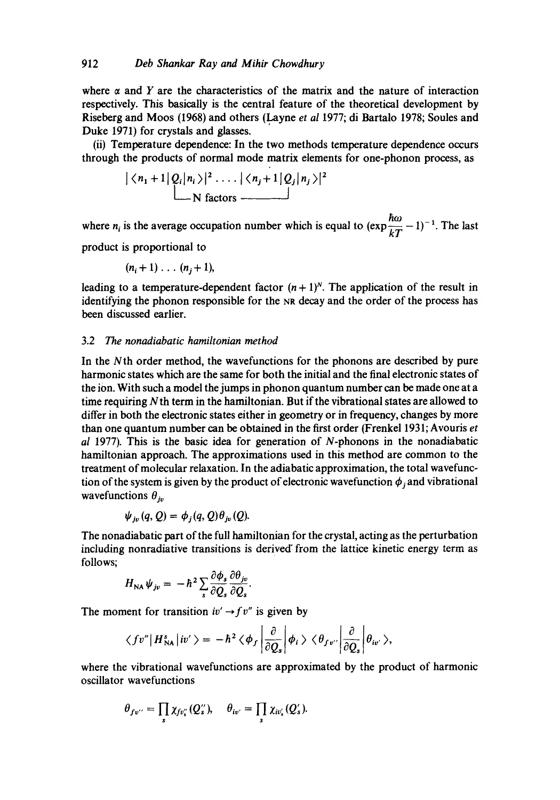where  $\alpha$  and Y are the characteristics of the matrix and the nature of interaction respectively. This basically is the central feature of the theoretical development by Riseberg and Moos (1968) and others (Layne *et al* 1977; di Bartalo 1978; Soules and Duke 1971) for crystals and glasses.

(ii) Temperature dependence: In the two methods temperature dependence occurs through the products of normal mode matrix elements for one-phonon process, as

$$
\left| \langle n_1 + 1 | Q_i | n_i \rangle \right|^2 \dots \left| \langle n_j + 1 | Q_j | n_j \rangle \right|^2
$$
  
N factors

where *n<sub>i</sub>* is the average occupation number which is equal to  $(\exp{\frac{\hbar \omega}{L}} - 1)^{-1}$ . The last

product is proportional to

$$
(n_i+1)\ldots (n_j+1),
$$

leading to a temperature-dependent factor  $(n + 1)^N$ . The application of the result in identifying the phonon responsible for the NR decay and the order of the process has been discussed earlier.

#### 3.2 The *nonadiabatic hamiltonian method*

In the Nth order method, the wavefunctions for the phonons are described by pure harmonic states which are the same for both the initial and the final electronic states of the ion. With such a model the jumps in phonon quantum number can be made one at a time requiring Nth term in the hamiltonian. But if the vibrational states are allowed to differ in both the electronic states either in geometry or in frequency, changes by more than one quantum number can be obtained in the first order (Frenkel 1931; Avouris *et al* 1977). This is the basic idea for generation of N-phonons in the nonadiabatic hamiltonian approach. The approximations used in this method are common to the treatment of molecular relaxation. In the adiabatic approximation, the total wavefunction of the system is given by the product of electronic wavefunction  $\phi_i$  and vibrational wavefunctions  $\theta_{in}$ 

$$
\psi_{j\nu}(q, Q) = \phi_j(q, Q) \theta_{j\nu}(Q).
$$

The nonadiabatic part of the full hamiltonian for the crystal, acting as the perturbation including nonradiative transitions is derived" from the lattice kinetic energy term as follows;  $\overline{a}$   $\overline{a}$ 

$$
H_{\text{NA}}\psi_{j\nu} = -\hbar^2 \sum_{s} \frac{\partial \phi_s}{\partial Q_s} \frac{\partial \theta_{j\nu}}{\partial Q_s}
$$

The moment for transition  $iv' \rightarrow f v''$  is given by

$$
\langle f v'' | H_{\rm NA}^s | i v' \rangle = -\hbar^2 \langle \phi_f | \frac{\partial}{\partial Q_s} | \phi_i \rangle \langle \theta_{f v''} | \frac{\partial}{\partial Q_s} | \theta_{i v'} \rangle,
$$

where the vibrational wavefunctions are approximated by the product of harmonic oscillator wavefunctions

$$
\theta_{fv^{\prime\prime}}=\prod_s \chi_{fv_s^{\prime\prime}}(Q_s^{\prime\prime}), \quad \theta_{iv^{\prime}}=\prod_s \chi_{iv_s^{\prime}}(Q_s^{\prime}).
$$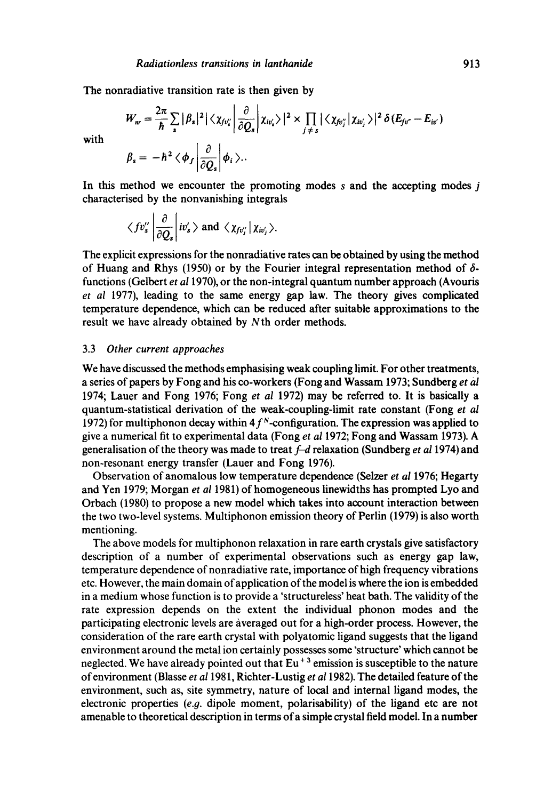The nonradiative transition rate is then given by

$$
W_{nr} = \frac{2\pi}{\hbar} \sum_{s} |\beta_{s}|^{2} |\langle \chi_{fv_i'}| \frac{\partial}{\partial Q_{s}} | \chi_{iv_s'} \rangle|^{2} \times \prod_{j \neq s} |\langle \chi_{fv_j'}| \chi_{iv_j'} \rangle|^{2} \delta(E_{fv'} - E_{iv'})
$$
  

$$
\beta_{s} = -\hbar^{2} \langle \phi_{f} | \frac{\partial}{\partial Q_{s}} | \phi_{i} \rangle.
$$

with

In this method we encounter the promoting modes  $s$  and the accepting modes  $j$ characterised by the nonvanishing integrals

$$
\langle fv''_s \left| \frac{\partial}{\partial Q_s} \right| iv'_s \rangle
$$
 and  $\langle \chi_{fv''_j} | \chi_{iv'_j} \rangle$ .

The explicit expressions for the nonradiative rates can be obtained by using the method of Huang and Rhys (1950) or by the Fourier integral representation method of  $\delta$ functions (Gelbert *et a11970),* or the non-integral quantum number approach (Avouris *et al* 1977), leading to the same energy gap law. The theory gives complicated temperature dependence, which can be reduced after suitable approximations to the result we have already obtained by N th order methods.

### 3.3 *Other current approaches*

We have discussed the methods emphasising weak coupling limit. For other treatments, a series of papers by Fong and his co-workers (Fong and Wassam 1973; Sundberg *et al*  1974; Lauer and Fong 1976; Fong *et al* 1972) may be referred to. It is basically a quantum-statistical derivation of the weak-coupling-limit rate constant (Fong *et al*  1972) for multiphonon decay within  $4f<sup>N</sup>$ -configuration. The expression was applied to give a numerical fit to experimental data (Fong *et al* 1972; Fong and Wassam 1973). A generalisation of the theory was made to treat f-d relaxation (Sundberg *et a11974)* and non-resonant energy transfer (Lauer and Fong 1976).

Observation of anomalous low temperature dependence (Seizer *et al* 1976; Hegarty and Yen 1979; Morgan *et al* 1981) of homogeneous linewidths has prompted Lyo and Orbach (1980) to propose a new model which takes into account interaction between the two two-level systems. Multiphonon emission theory of Perlin (1979) is also worth mentioning.

The above models for multiphonon relaxation in rare earth crystals give satisfactory description of a number of experimental observations such as energy gap law, temperature dependence of nonradiative rate, importance of high frequency vibrations etc. However, the main domain of application of the model is where the ion is embedded in a medium whose function is to provide a 'structureless' heat bath. The validity of the rate expression depends on the extent the individual phonon modes and the participating electronic levels are àveraged out for a high-order process. However, the consideration of the rare earth crystal with polyatomic ligand suggests that the ligand environment around the metal ion certainly possesses some 'structure' which cannot be neglected. We have already pointed out that  $Eu<sup>+3</sup>$  emission is susceptible to the nature of environment (Blasse *et a11981,* Richter-Lustig *et a11982).* The detailed feature of the environment, such as, site symmetry, nature of local and internal ligand modes, the electronic properties  $(e.g.$  dipole moment, polarisability) of the ligand etc are not amenable to theoretical description in terms of a simple crystal field model. In a number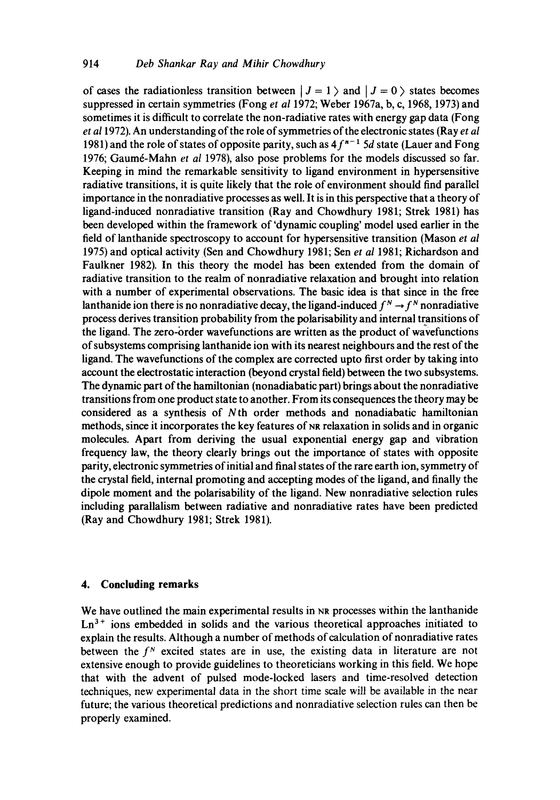of cases the radiationless transition between  $| J = 1 \rangle$  and  $| J = 0 \rangle$  states becomes suppressed in certain symmetries (Fong *et al* 1972; Weber 1967a, b, c, 1968, 1973) and sometimes it is difficult to correlate the non-radiative rates with energy gap data (Fong *et a11972).* An understanding of the role of symmetries of the electronic states (Ray *et al*  1981) and the role of states of opposite parity, such as  $4f^{n-1}$  5d state (Lauer and Fong 1976; Gaum6-Mahn *et al* 1978), also pose problems for the models discussed so far. Keeping in mind the remarkable sensitivity to ligand environment in hypersensitive radiative transitions, it is quite likely that the role of environment should find parallel importance in the nonradiative processes as well. It is in this perspective that a theory of ligand-induced nonradiative transition (Ray and Chowdhury 1981; Strek 1981) has been developed within the framework of 'dynamic coupling' model used earlier in the field of lanthanide spectroscopy to account for hypersensitive transition (Mason *et al*  1975) and optical activity (Sen and Chowdhury 1981; Sen *et al* 1981; Richardson and Faulkner 1982). In this theory the model has been extended from the domain of radiative transition to the realm of nonradiative relaxation and brought into relation with a number of experimental observations. The basic idea is that since in the free lanthanide ion there is no nonradiative decay, the ligand-induced  $f^N \rightarrow f^N$  nonradiative process derives transition probability from the polarisability and internal transitions of the ligand. The zero-order wavefunctions are written as the product of wavefunctions of subsystems comprising lanthanide ion with its nearest neighbours and the rest of the ligand. The wavefunctions of the complex are corrected upto first order by taking into account the electrostatic interaction (beyond crystal field) between the two subsystems. The dynamic part of the hamiltonian (nonadiabatic part) brings about the nonradiative transitions from one product state to another. From its consequences the theory may be considered as a synthesis of Nth order methods and nonadiabatic hamiltonian methods, since it incorporates the key features of NR relaxation in solids and in organic molecules. Apart from deriving the usual exponential energy gap and vibration frequency law, the theory clearly brings out the importance of states with opposite parity, electronic symmetries of initial and final states of the rare earth ion, symmetry of the crystal field, internal promoting and accepting modes of the ligand, and finally the dipole moment and the polarisability of the ligand. New nonradiative selection rules including parallalism between radiative and nonradiative rates have been predicted (Ray and Chowdhury 1981; Strek 1981).

# **4. Concluding remarks**

We have outlined the main experimental results in NR processes within the lanthanide  $Ln<sup>3+</sup>$  ions embedded in solids and the various theoretical approaches initiated to explain the results. Although a number of methods of calculation of nonradiative rates between the  $f<sup>N</sup>$  excited states are in use, the existing data in literature are not extensive enough to provide guidelines to theoreticians working in this field. We hope that with the advent of pulsed mode-locked lasers and time-resolved detection techniques, new experimental data in the short time scale will be available in the near future; the various theoretical predictions and nonradiative selection rules can then be properly examined.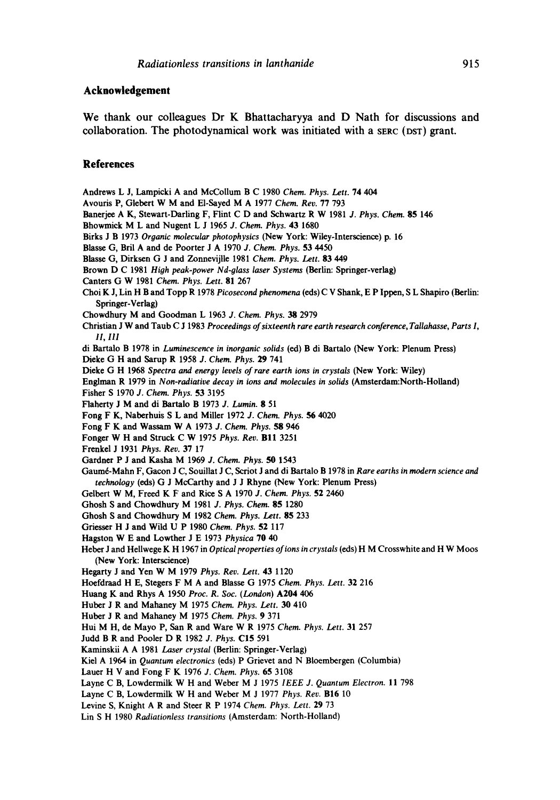# **Acknowledgement**

We thank our colleagues Dr K Bhattacharyya and D Nath for discussions and collaboration. The photodynamical work was initiated with a SERC (DST) grant.

# **References**

Andrews L J, Lampicki A and McCollum B C 1980 *Chem. Phys. Lett.* 74 404 Avouris P, Giebert W M and El-Sayed M A 1977 *Chem. Rev.* 77 793 Banerjee A K, Stewart-Darling F, Flint C D and Schwartz R W 1981 *J. Phys. Chem.* 85 146 Bhowmick M L and Nugent L J 1965 *J. Chem. Phys.* 43 1680 Birks J B 1973 *Organic molecular photophysics* (New York: Wiley-Interscience) p. 16 Blasse G, Bril A and de Poorter J A 1970 *J. Chem. Phys.* 53 4450 Blasse G, Dirksen G J and Zonnevijlle 1981 *Chem. Phys. Lett.* 83 449 Brown D C 1981 *High peak-power Nd-glass laser Systems* (Berlin: Springer-verlag) Canters G W 1981 *Chem. Phys. Lett.* 81 267 Choi K J, Lin H B and Topp R 1978 *Picosecond phenomena* (eds) C V Shank, E P Ippen, S L Shapiro (Berlin: Springer-Verlag) Chowdhury M and Goodman L 1963 *J. Chem. Phys. 38* 2979 Christian J W and Taub C J 1983 *Proceedings of sixteenth rare earth research conference, Tallahasse, Parts I, II, I11*  di Bartalo B 1978 in *Luminescence in inorganic solids* (ed) B di Bartalo (New York: Plenum Press) Dieke G H and Sarup R 1958 *J. Chem. Phys.* 29 741 Dieke G H 1968 *Spectra and energy levels of rare earth ions in crystals* (New York: Wiley) Englman R 1979 in *Non-radiative decay in ions and molecules in solids* (Amsterdam:North-Holland) Fisher S 1970 *J. Chem. Phys.* 53 3195 Flaherty J M and di Bartalo B 1973 *J. Lumin.* 8 51 Fong F K, Naberhuis S L and Miller 1972 *J. Chem.* Phys. 56 4020 Fong F K and Wassam W A 1973 *J. Chem. Phys. 58* 946 Fonger W H and Struck C W 1975 *Phys. Rev.* BI1 3251 Frenkel J 1931 Phys. *Rev.* 37 17 Gardner P J and Kasha M 1969 *J. Chem. Phys. 50* 1543 Gaumé-Mahn F, Gacon J C, Souillat J C, Scriot J and di Bartalo B 1978 in *Rare earths in modern science and technology* (eds) G J McCarthy and J J Rhyne (New York: Plenum Press) Gelbert W M, Freed K F and Rice S A 1970 *J. Chem. Phys.* 52 2460 Ghosh S and Chowdhury M 1981 *J. Phys. Chem.* 85 1280 Ghosh S and Chowdhury M 1982 *Chem.* Phys. *Lett.* 85 233 Griesser H J and Wild U P 1980 *Chem. Phys.* 52 117 Hagston W E and Lowther J E 1973 *Physica* 70 40 Heber J and Hellwege K H 1967 in *Optical properties of ions in crystals* (eds) H M Crosswhite and H W Moos (New York: Interscience) Hegarty J and Yen W M 1979 *Phys. Rev. Lett.* 43 1120 Hoefdraad H E, Stegers F M A and Blasse G 1975 *Chem. Phys. Lett.* 32 216 Huang K and Rhys A 1950 *Proc. R. Soc. (London)* A204 406 Huber J R and Mahaney M 1975 *Chem. Phys. Lett. 30* 410 Huber J R and Mahaney M 1975 *Chem. Phys.* 9 371 Hui M H, de Mayo P, San R and Ware W R 1975 *Chem. Phys. Lett.* 31 257 Judd B R and Pooler D R 1982 *J. Phys.* C15 591 Kaminskii A A 1981 *Laser crystal* (Berlin: Springer-Verlag) Kiel A 1964 in *Quantum electronics* (eds) P Grievet and N Bloembergen (Columbia) Lauer H V and Fong F K 1976 *J. Chem. Phys.* 65 3108 Layne C B, Lowdermilk W H and Weber M J 1975 *IEEE J. Quantum Electron.* 11 798 Layne C B, Lowdermilk W H and Weber M J 1977 *Phys. Rev.* B16 10 Levine S, Knight A R and Steer R P 1974 *Chem. Phys. Lett.* 29 73 Lin S H 1980 *Radiationless transitions* (Amsterdam: North-Holland)